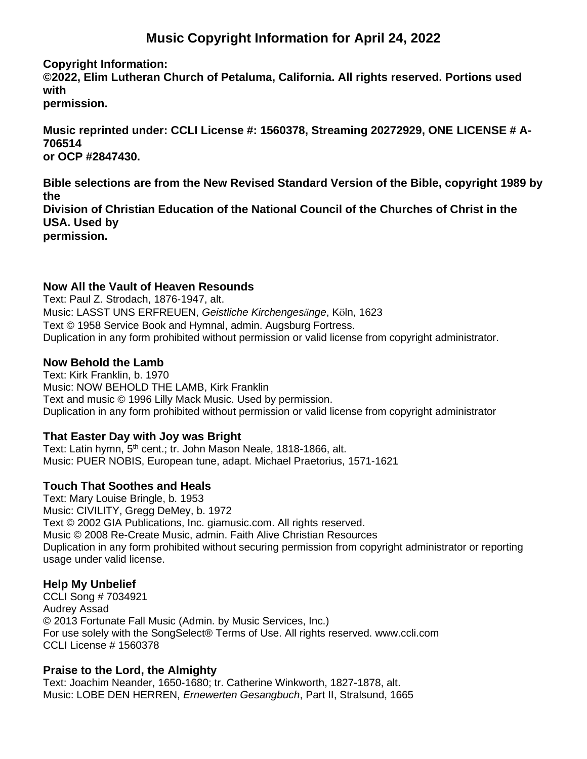# **Music Copyright Information for April 24, 2022**

**Copyright Information:**

**©2022, Elim Lutheran Church of Petaluma, California. All rights reserved. Portions used with**

**permission.**

**Music reprinted under: CCLI License #: 1560378, Streaming 20272929, ONE LICENSE # A-706514 or OCP #2847430.**

**Bible selections are from the New Revised Standard Version of the Bible, copyright 1989 by the Division of Christian Education of the National Council of the Churches of Christ in the USA. Used by permission.**

### **Now All the Vault of Heaven Resounds**

Text: Paul Z. Strodach, 1876-1947, alt. Music: LASST UNS ERFREUEN, *Geistliche Kirchengesänge*, Köln, 1623 Text © 1958 Service Book and Hymnal, admin. Augsburg Fortress. Duplication in any form prohibited without permission or valid license from copyright administrator.

### **Now Behold the Lamb**

Text: Kirk Franklin, b. 1970 Music: NOW BEHOLD THE LAMB, Kirk Franklin Text and music © 1996 Lilly Mack Music. Used by permission. Duplication in any form prohibited without permission or valid license from copyright administrator

# **That Easter Day with Joy was Bright**

Text: Latin hymn, 5<sup>th</sup> cent.; tr. John Mason Neale, 1818-1866, alt. Music: PUER NOBIS, European tune, adapt. Michael Praetorius, 1571-1621

# **Touch That Soothes and Heals**

Text: Mary Louise Bringle, b. 1953 Music: CIVILITY, Gregg DeMey, b. 1972 Text © 2002 GIA Publications, Inc. giamusic.com. All rights reserved. Music © 2008 Re-Create Music, admin. Faith Alive Christian Resources Duplication in any form prohibited without securing permission from copyright administrator or reporting usage under valid license.

#### **Help My Unbelief**

CCLI Song # 7034921 Audrey Assad © 2013 Fortunate Fall Music (Admin. by Music Services, Inc.) For use solely with the SongSelect® Terms of Use. All rights reserved. www.ccli.com CCLI License # 1560378

#### **Praise to the Lord, the Almighty**

Text: Joachim Neander, 1650-1680; tr. Catherine Winkworth, 1827-1878, alt. Music: LOBE DEN HERREN, *Ernewerten Gesangbuch*, Part II, Stralsund, 1665